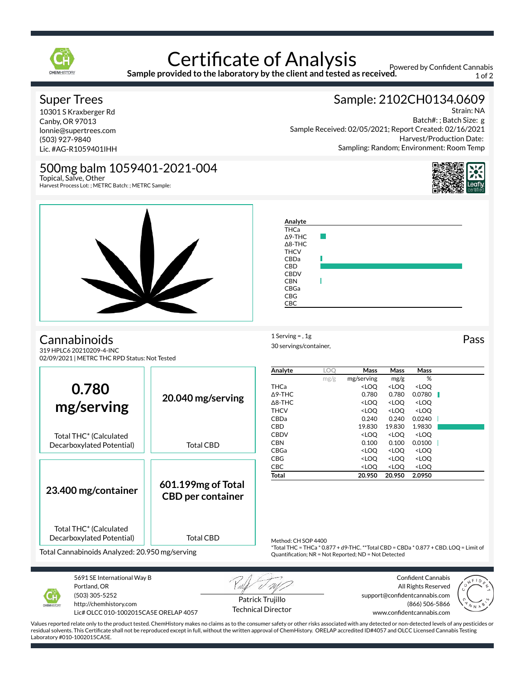

## Certificate of Analysis

**Sample provided to the laboratory by the client and tested as received.**

Powered by Confident Cannabis 1 of 2

Batch#: ; Batch Size: g

Harvest/Production Date:

Strain: NA

Sample: 2102CH0134.0609

Sampling: Random; Environment: Room Temp

Sample Received: 02/05/2021; Report Created: 02/16/2021

### Super Trees

10301 S Kraxberger Rd Canby, OR 97013 lonnie@supertrees.com (503) 927-9840 Lic. #AG-R1059401IHH

## 500mg balm 1059401-2021-004

 $\mathbf{Z}$ 

Topical, Salve, Other Harvest Process Lot: ; METRC Batch: ; METRC Sample:



1 Serving = , 1g<br>
Pass

#### **Cannabinoids**

319 HPLC6 20210209-4-INC 02/09/2021 | METRC THC RPD Status: Not Tested

|                                                     |                                                                                                                                              | Analyte             | LO <sub>O</sub> | Mass                                                                                 | Mass                                                     | Mass                         |  |
|-----------------------------------------------------|----------------------------------------------------------------------------------------------------------------------------------------------|---------------------|-----------------|--------------------------------------------------------------------------------------|----------------------------------------------------------|------------------------------|--|
| 0.780<br>mg/serving                                 |                                                                                                                                              |                     | mg/g            | mg/serving                                                                           | mg/g                                                     | %                            |  |
|                                                     | 20.040 mg/serving<br><b>Total CBD</b>                                                                                                        | <b>THCa</b>         |                 | <loq< td=""><td><loq< td=""><td><loo< td=""><td></td></loo<></td></loq<></td></loq<> | <loq< td=""><td><loo< td=""><td></td></loo<></td></loq<> | <loo< td=""><td></td></loo<> |  |
|                                                     |                                                                                                                                              | $\triangle$ 9-THC   |                 | 0.780                                                                                | 0.780                                                    | 0.0780                       |  |
|                                                     |                                                                                                                                              | $\Delta$ 8-THC      |                 | <loo< td=""><td><loq< td=""><td><loo< td=""><td></td></loo<></td></loq<></td></loo<> | <loq< td=""><td><loo< td=""><td></td></loo<></td></loq<> | <loo< td=""><td></td></loo<> |  |
|                                                     |                                                                                                                                              | <b>THCV</b>         |                 | <loq< td=""><td><loq< td=""><td><loq< td=""><td></td></loq<></td></loq<></td></loq<> | <loq< td=""><td><loq< td=""><td></td></loq<></td></loq<> | <loq< td=""><td></td></loq<> |  |
|                                                     |                                                                                                                                              | CBDa                |                 | 0.240                                                                                | 0.240                                                    | 0.0240                       |  |
|                                                     |                                                                                                                                              | <b>CBD</b>          |                 | 19.830                                                                               | 19.830                                                   | 1.9830                       |  |
| Total THC* (Calculated<br>Decarboxylated Potential) |                                                                                                                                              | <b>CBDV</b>         |                 | <loq< td=""><td><loq< td=""><td><loo< td=""><td></td></loo<></td></loq<></td></loq<> | <loq< td=""><td><loo< td=""><td></td></loo<></td></loq<> | <loo< td=""><td></td></loo<> |  |
|                                                     |                                                                                                                                              | <b>CBN</b>          |                 | 0.100                                                                                | 0.100                                                    | 0.0100                       |  |
|                                                     |                                                                                                                                              | CBGa                |                 | <loq< td=""><td><loq< td=""><td><loq< td=""><td></td></loq<></td></loq<></td></loq<> | <loq< td=""><td><loq< td=""><td></td></loq<></td></loq<> | <loq< td=""><td></td></loq<> |  |
|                                                     |                                                                                                                                              | <b>CBG</b>          |                 | <loo< td=""><td><loq< td=""><td><loq< td=""><td></td></loq<></td></loq<></td></loo<> | <loq< td=""><td><loq< td=""><td></td></loq<></td></loq<> | <loq< td=""><td></td></loq<> |  |
|                                                     |                                                                                                                                              | CBC                 |                 | <loq< td=""><td><loq< td=""><td><loq< td=""><td></td></loq<></td></loq<></td></loq<> | <loq< td=""><td><loq< td=""><td></td></loq<></td></loq<> | <loq< td=""><td></td></loq<> |  |
|                                                     |                                                                                                                                              | Total               |                 | 20.950                                                                               | 20.950                                                   | 2.0950                       |  |
|                                                     | 601.199mg of Total                                                                                                                           |                     |                 |                                                                                      |                                                          |                              |  |
| 23.400 mg/container                                 | <b>CBD per container</b>                                                                                                                     |                     |                 |                                                                                      |                                                          |                              |  |
|                                                     |                                                                                                                                              |                     |                 |                                                                                      |                                                          |                              |  |
|                                                     |                                                                                                                                              |                     |                 |                                                                                      |                                                          |                              |  |
|                                                     |                                                                                                                                              |                     |                 |                                                                                      |                                                          |                              |  |
| Total THC <sup>*</sup> (Calculated                  |                                                                                                                                              |                     |                 |                                                                                      |                                                          |                              |  |
| Decarboxylated Potential)                           | <b>Total CBD</b>                                                                                                                             |                     |                 |                                                                                      |                                                          |                              |  |
|                                                     |                                                                                                                                              | Method: CH SOP 4400 |                 |                                                                                      |                                                          |                              |  |
| Total Cannabinoids Analyzed: 20.950 mg/serving      | *Total THC = THCa * 0.877 + d9-THC. **Total CBD = CBDa * 0.877 + CBD. LOQ = Limit of<br>Quantification; NR = Not Reported; ND = Not Detected |                     |                 |                                                                                      |                                                          |                              |  |
|                                                     |                                                                                                                                              |                     |                 |                                                                                      |                                                          |                              |  |
|                                                     | <b>SALE AND THE REAL PROPERTY</b>                                                                                                            |                     |                 |                                                                                      |                                                          |                              |  |

30 servings/container,



5691 SE International Way B Portland, OR (503) 305-5252 http://chemhistory.com

Lic# OLCC 010-1002015CA5E ORELAP 4057

Patrick Trujillo Technical Director

Confident Cannabis All Rights Reserved support@confidentcannabis.com (866) 506-5866 www.confidentcannabis.com



Values reported relate only to the product tested. ChemHistory makes no claims as to the consumer safety or other risks associated with any detected or non-detected levels of any pesticides or residual solvents. This Certificate shall not be reproduced except in full, without the written approval of ChemHistory. ORELAP accredited ID#4057 and OLCC Licensed Cannabis Testing Laboratory #010-1002015CA5E.